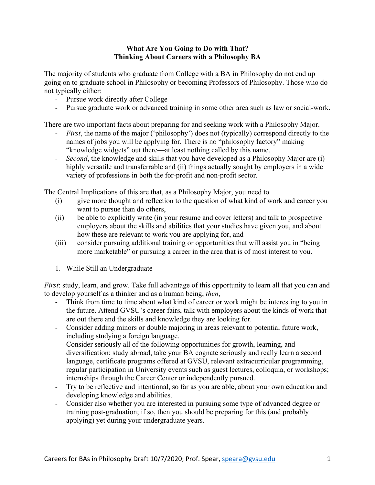## **What Are You Going to Do with That? Thinking About Careers with a Philosophy BA**

The majority of students who graduate from College with a BA in Philosophy do not end up going on to graduate school in Philosophy or becoming Professors of Philosophy. Those who do not typically either:

- Pursue work directly after College
- Pursue graduate work or advanced training in some other area such as law or social-work.

There are two important facts about preparing for and seeking work with a Philosophy Major.

- *First*, the name of the major ('philosophy') does not (typically) correspond directly to the names of jobs you will be applying for. There is no "philosophy factory" making "knowledge widgets" out there—at least nothing called by this name.
- *Second*, the knowledge and skills that you have developed as a Philosophy Major are (i) highly versatile and transferrable and (ii) things actually sought by employers in a wide variety of professions in both the for-profit and non-profit sector.

The Central Implications of this are that, as a Philosophy Major, you need to

- (i) give more thought and reflection to the question of what kind of work and career you want to pursue than do others,
- (ii) be able to explicitly write (in your resume and cover letters) and talk to prospective employers about the skills and abilities that your studies have given you, and about how these are relevant to work you are applying for, and
- (iii) consider pursuing additional training or opportunities that will assist you in "being more marketable" or pursuing a career in the area that is of most interest to you.
- 1. While Still an Undergraduate

*First*: study, learn, and grow. Take full advantage of this opportunity to learn all that you can and to develop yourself as a thinker and as a human being, *then*,

- Think from time to time about what kind of career or work might be interesting to you in the future. Attend GVSU's career fairs, talk with employers about the kinds of work that are out there and the skills and knowledge they are looking for.
- Consider adding minors or double majoring in areas relevant to potential future work, including studying a foreign language.
- Consider seriously all of the following opportunities for growth, learning, and diversification: study abroad, take your BA cognate seriously and really learn a second language, certificate programs offered at GVSU, relevant extracurricular programming, regular participation in University events such as guest lectures, colloquia, or workshops; internships through the Career Center or independently pursued.
- Try to be reflective and intentional, so far as you are able, about your own education and developing knowledge and abilities.
- Consider also whether you are interested in pursuing some type of advanced degree or training post-graduation; if so, then you should be preparing for this (and probably applying) yet during your undergraduate years.